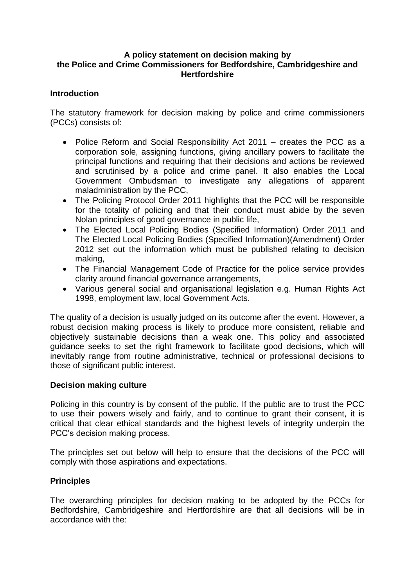#### **A policy statement on decision making by the Police and Crime Commissioners for Bedfordshire, Cambridgeshire and Hertfordshire**

### **Introduction**

The statutory framework for decision making by police and crime commissioners (PCCs) consists of:

- Police Reform and Social Responsibility Act 2011 creates the PCC as a corporation sole, assigning functions, giving ancillary powers to facilitate the principal functions and requiring that their decisions and actions be reviewed and scrutinised by a police and crime panel. It also enables the Local Government Ombudsman to investigate any allegations of apparent maladministration by the PCC,
- The Policing Protocol Order 2011 highlights that the PCC will be responsible for the totality of policing and that their conduct must abide by the seven Nolan principles of good governance in public life,
- The Elected Local Policing Bodies (Specified Information) Order 2011 and The Elected Local Policing Bodies (Specified Information)(Amendment) Order 2012 set out the information which must be published relating to decision making,
- The Financial Management Code of Practice for the police service provides clarity around financial governance arrangements,
- Various general social and organisational legislation e.g. Human Rights Act 1998, employment law, local Government Acts.

The quality of a decision is usually judged on its outcome after the event. However, a robust decision making process is likely to produce more consistent, reliable and objectively sustainable decisions than a weak one. This policy and associated guidance seeks to set the right framework to facilitate good decisions, which will inevitably range from routine administrative, technical or professional decisions to those of significant public interest.

#### **Decision making culture**

Policing in this country is by consent of the public. If the public are to trust the PCC to use their powers wisely and fairly, and to continue to grant their consent, it is critical that clear ethical standards and the highest levels of integrity underpin the PCC's decision making process.

The principles set out below will help to ensure that the decisions of the PCC will comply with those aspirations and expectations.

# **Principles**

The overarching principles for decision making to be adopted by the PCCs for Bedfordshire, Cambridgeshire and Hertfordshire are that all decisions will be in accordance with the: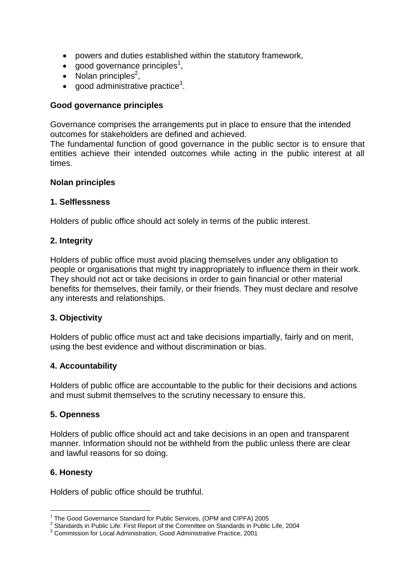- powers and duties established within the statutory framework,
- $\bullet$  good governance principles<sup>1</sup>,
- $\bullet$  Nolan principles<sup>2</sup>,
- $\bullet$  good administrative practice<sup>3</sup>.

### **Good governance principles**

Governance comprises the arrangements put in place to ensure that the intended outcomes for stakeholders are defined and achieved.

The fundamental function of good governance in the public sector is to ensure that entities achieve their intended outcomes while acting in the public interest at all times.

#### **Nolan principles**

#### **1. Selflessness**

Holders of public office should act solely in terms of the public interest.

#### **2. Integrity**

Holders of public office must avoid placing themselves under any obligation to people or organisations that might try inappropriately to influence them in their work. They should not act or take decisions in order to gain financial or other material benefits for themselves, their family, or their friends. They must declare and resolve any interests and relationships.

#### **3. Objectivity**

Holders of public office must act and take decisions impartially, fairly and on merit, using the best evidence and without discrimination or bias.

#### **4. Accountability**

Holders of public office are accountable to the public for their decisions and actions and must submit themselves to the scrutiny necessary to ensure this.

#### **5. Openness**

Holders of public office should act and take decisions in an open and transparent manner. Information should not be withheld from the public unless there are clear and lawful reasons for so doing.

#### **6. Honesty**

1

Holders of public office should be truthful.

<sup>&</sup>lt;sup>1</sup> The Good Governance Standard for Public Services, (OPM and CIPFA) 2005

 $2$  Standards in Public Life: First Report of the Committee on Standards in Public Life, 2004

<sup>3</sup> Commission for Local Administration, Good Administrative Practice, 2001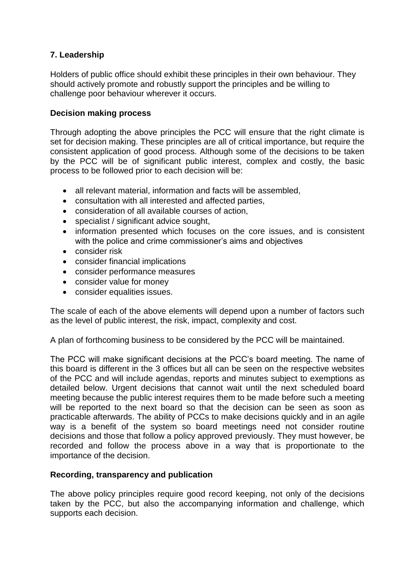# **7. Leadership**

Holders of public office should exhibit these principles in their own behaviour. They should actively promote and robustly support the principles and be willing to challenge poor behaviour wherever it occurs.

## **Decision making process**

Through adopting the above principles the PCC will ensure that the right climate is set for decision making. These principles are all of critical importance, but require the consistent application of good process. Although some of the decisions to be taken by the PCC will be of significant public interest, complex and costly, the basic process to be followed prior to each decision will be:

- all relevant material, information and facts will be assembled,
- consultation with all interested and affected parties,
- consideration of all available courses of action,
- specialist / significant advice sought,
- information presented which focuses on the core issues, and is consistent with the police and crime commissioner's aims and objectives
- consider risk
- consider financial implications
- consider performance measures
- consider value for money
- consider equalities issues.

The scale of each of the above elements will depend upon a number of factors such as the level of public interest, the risk, impact, complexity and cost.

A plan of forthcoming business to be considered by the PCC will be maintained.

The PCC will make significant decisions at the PCC's board meeting. The name of this board is different in the 3 offices but all can be seen on the respective websites of the PCC and will include agendas, reports and minutes subject to exemptions as detailed below. Urgent decisions that cannot wait until the next scheduled board meeting because the public interest requires them to be made before such a meeting will be reported to the next board so that the decision can be seen as soon as practicable afterwards. The ability of PCCs to make decisions quickly and in an agile way is a benefit of the system so board meetings need not consider routine decisions and those that follow a policy approved previously. They must however, be recorded and follow the process above in a way that is proportionate to the importance of the decision.

#### **Recording, transparency and publication**

The above policy principles require good record keeping, not only of the decisions taken by the PCC, but also the accompanying information and challenge, which supports each decision.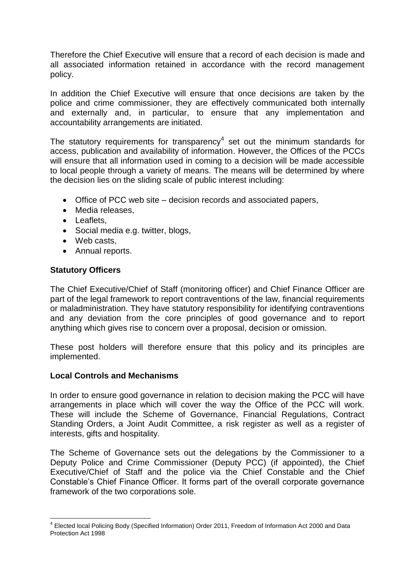Therefore the Chief Executive will ensure that a record of each decision is made and all associated information retained in accordance with the record management policy.

In addition the Chief Executive will ensure that once decisions are taken by the police and crime commissioner, they are effectively communicated both internally and externally and, in particular, to ensure that any implementation and accountability arrangements are initiated.

The statutory requirements for transparency $4$  set out the minimum standards for access, publication and availability of information. However, the Offices of the PCCs will ensure that all information used in coming to a decision will be made accessible to local people through a variety of means. The means will be determined by where the decision lies on the sliding scale of public interest including:

- Office of PCC web site decision records and associated papers,
- Media releases.
- Leaflets.
- Social media e.g. twitter, blogs,
- Web casts.
- Annual reports.

#### **Statutory Officers**

<u>.</u>

The Chief Executive/Chief of Staff (monitoring officer) and Chief Finance Officer are part of the legal framework to report contraventions of the law, financial requirements or maladministration. They have statutory responsibility for identifying contraventions and any deviation from the core principles of good governance and to report anything which gives rise to concern over a proposal, decision or omission.

These post holders will therefore ensure that this policy and its principles are implemented.

#### **Local Controls and Mechanisms**

In order to ensure good governance in relation to decision making the PCC will have arrangements in place which will cover the way the Office of the PCC will work. These will include the Scheme of Governance, Financial Regulations, Contract Standing Orders, a Joint Audit Committee, a risk register as well as a register of interests, gifts and hospitality.

The Scheme of Governance sets out the delegations by the Commissioner to a Deputy Police and Crime Commissioner (Deputy PCC) (if appointed), the Chief Executive/Chief of Staff and the police via the Chief Constable and the Chief Constable's Chief Finance Officer. It forms part of the overall corporate governance framework of the two corporations sole.

<sup>&</sup>lt;sup>4</sup> Elected local Policing Body (Specified Information) Order 2011, Freedom of Information Act 2000 and Data Protection Act 1998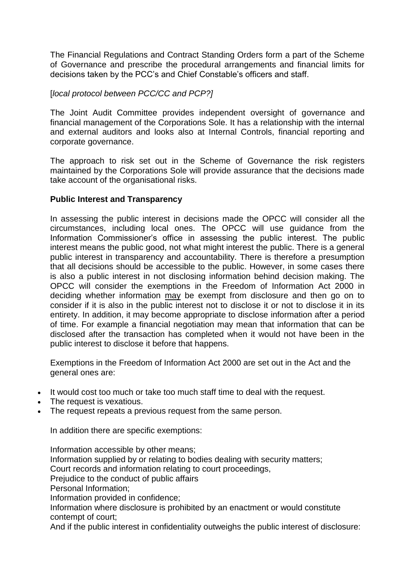The Financial Regulations and Contract Standing Orders form a part of the Scheme of Governance and prescribe the procedural arrangements and financial limits for decisions taken by the PCC's and Chief Constable's officers and staff.

## [*local protocol between PCC/CC and PCP?]*

The Joint Audit Committee provides independent oversight of governance and financial management of the Corporations Sole. It has a relationship with the internal and external auditors and looks also at Internal Controls, financial reporting and corporate governance.

The approach to risk set out in the Scheme of Governance the risk registers maintained by the Corporations Sole will provide assurance that the decisions made take account of the organisational risks.

#### **Public Interest and Transparency**

In assessing the public interest in decisions made the OPCC will consider all the circumstances, including local ones. The OPCC will use guidance from the Information Commissioner's office in assessing the public interest. The public interest means the public good, not what might interest the public. There is a general public interest in transparency and accountability. There is therefore a presumption that all decisions should be accessible to the public. However, in some cases there is also a public interest in not disclosing information behind decision making. The OPCC will consider the exemptions in the Freedom of Information Act 2000 in deciding whether information may be exempt from disclosure and then go on to consider if it is also in the public interest not to disclose it or not to disclose it in its entirety. In addition, it may become appropriate to disclose information after a period of time. For example a financial negotiation may mean that information that can be disclosed after the transaction has completed when it would not have been in the public interest to disclose it before that happens.

Exemptions in the Freedom of Information Act 2000 are set out in the Act and the general ones are:

- It would cost too much or take too much staff time to deal with the request.
- The request is vexatious.
- The request repeats a previous request from the same person.

In addition there are specific exemptions:

Information accessible by other means; Information supplied by or relating to bodies dealing with security matters; Court records and information relating to court proceedings, Prejudice to the conduct of public affairs Personal Information; Information provided in confidence; Information where disclosure is prohibited by an enactment or would constitute contempt of court; And if the public interest in confidentiality outweighs the public interest of disclosure: